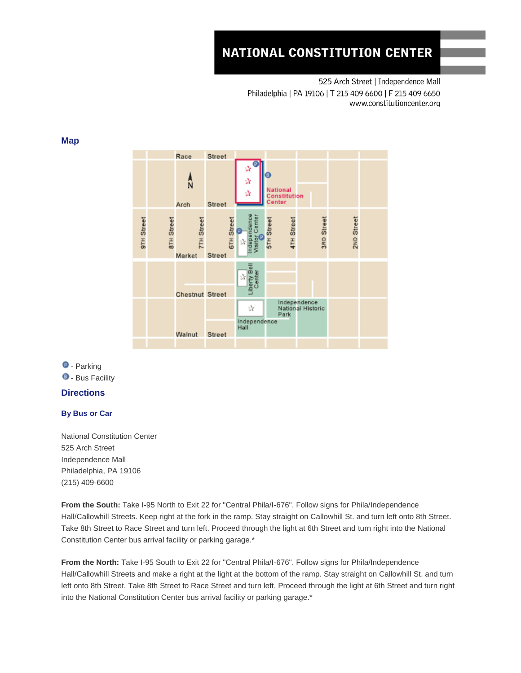# **NATIONAL CONSTITUTION CENTER**

525 Arch Street | Independence Mall Philadelphia | PA 19106 | T 215 409 6600 | F 215 409 6650 www.constitutioncenter.org





**D** - Parking **0** - Bus Facility

## **Directions**

## **By Bus or Car**

National Constitution Center 525 Arch Street Independence Mall Philadelphia, PA 19106 (215) 409-6600

**From the South:** Take I-95 North to Exit 22 for "Central Phila/I-676". Follow signs for Phila/Independence Hall/Callowhill Streets. Keep right at the fork in the ramp. Stay straight on Callowhill St. and turn left onto 8th Street. Take 8th Street to Race Street and turn left. Proceed through the light at 6th Street and turn right into the National Constitution Center bus arrival facility or parking garage.\*

**From the North:** Take I-95 South to Exit 22 for "Central Phila/I-676". Follow signs for Phila/Independence Hall/Callowhill Streets and make a right at the light at the bottom of the ramp. Stay straight on Callowhill St. and turn left onto 8th Street. Take 8th Street to Race Street and turn left. Proceed through the light at 6th Street and turn right into the National Constitution Center bus arrival facility or parking garage.\*